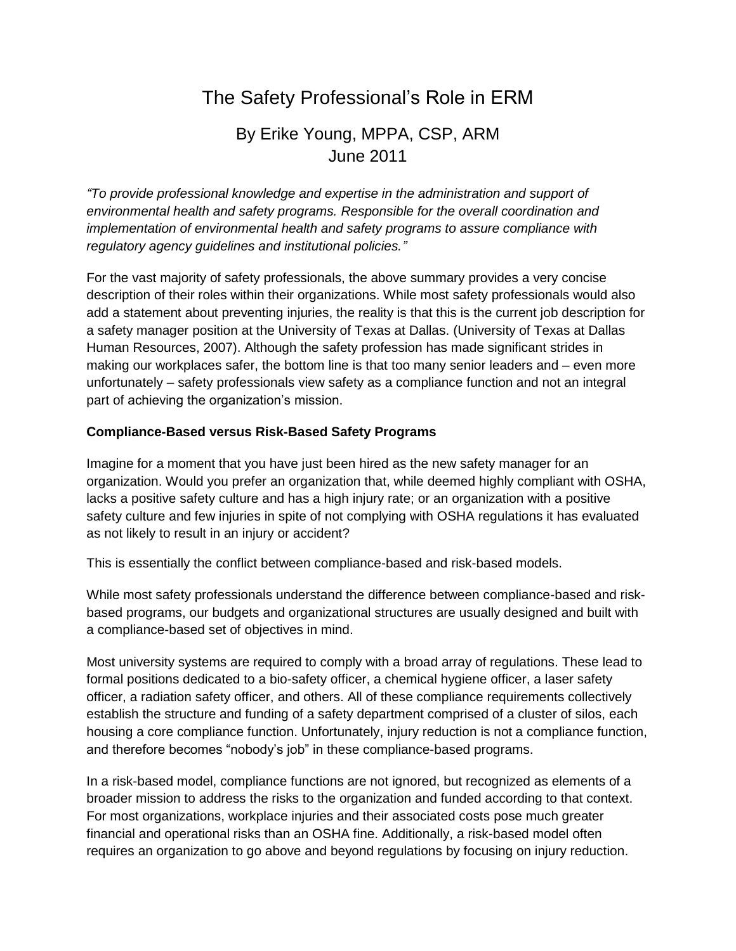# The Safety Professional's Role in ERM

# By Erike Young, MPPA, CSP, ARM June 2011

*"To provide professional knowledge and expertise in the administration and support of environmental health and safety programs. Responsible for the overall coordination and implementation of environmental health and safety programs to assure compliance with regulatory agency guidelines and institutional policies."*

For the vast majority of safety professionals, the above summary provides a very concise description of their roles within their organizations. While most safety professionals would also add a statement about preventing injuries, the reality is that this is the current job description for a safety manager position at the University of Texas at Dallas. (University of Texas at Dallas Human Resources, 2007). Although the safety profession has made significant strides in making our workplaces safer, the bottom line is that too many senior leaders and – even more unfortunately – safety professionals view safety as a compliance function and not an integral part of achieving the organization's mission.

#### **Compliance-Based versus Risk-Based Safety Programs**

Imagine for a moment that you have just been hired as the new safety manager for an organization. Would you prefer an organization that, while deemed highly compliant with OSHA, lacks a positive safety culture and has a high injury rate; or an organization with a positive safety culture and few injuries in spite of not complying with OSHA regulations it has evaluated as not likely to result in an injury or accident?

This is essentially the conflict between compliance-based and risk-based models.

While most safety professionals understand the difference between compliance-based and riskbased programs, our budgets and organizational structures are usually designed and built with a compliance-based set of objectives in mind.

Most university systems are required to comply with a broad array of regulations. These lead to formal positions dedicated to a bio-safety officer, a chemical hygiene officer, a laser safety officer, a radiation safety officer, and others. All of these compliance requirements collectively establish the structure and funding of a safety department comprised of a cluster of silos, each housing a core compliance function. Unfortunately, injury reduction is not a compliance function, and therefore becomes "nobody's job" in these compliance-based programs.

In a risk-based model, compliance functions are not ignored, but recognized as elements of a broader mission to address the risks to the organization and funded according to that context. For most organizations, workplace injuries and their associated costs pose much greater financial and operational risks than an OSHA fine. Additionally, a risk-based model often requires an organization to go above and beyond regulations by focusing on injury reduction.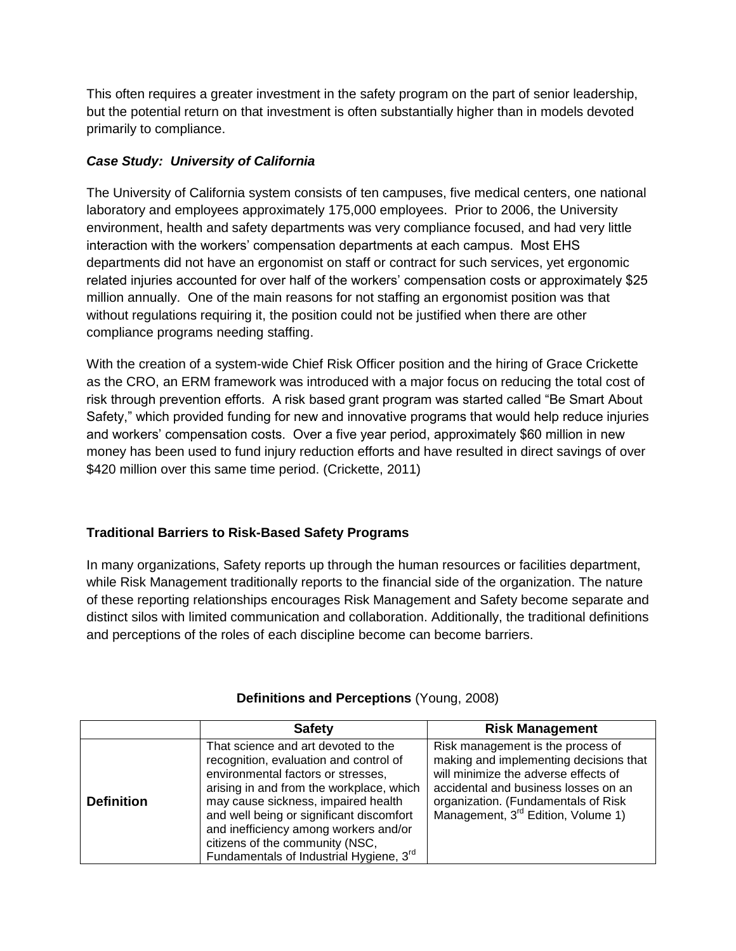This often requires a greater investment in the safety program on the part of senior leadership, but the potential return on that investment is often substantially higher than in models devoted primarily to compliance.

# *Case Study: University of California*

The University of California system consists of ten campuses, five medical centers, one national laboratory and employees approximately 175,000 employees. Prior to 2006, the University environment, health and safety departments was very compliance focused, and had very little interaction with the workers' compensation departments at each campus. Most EHS departments did not have an ergonomist on staff or contract for such services, yet ergonomic related injuries accounted for over half of the workers' compensation costs or approximately \$25 million annually. One of the main reasons for not staffing an ergonomist position was that without regulations requiring it, the position could not be justified when there are other compliance programs needing staffing.

With the creation of a system-wide Chief Risk Officer position and the hiring of Grace Crickette as the CRO, an ERM framework was introduced with a major focus on reducing the total cost of risk through prevention efforts. A risk based grant program was started called "Be Smart About Safety," which provided funding for new and innovative programs that would help reduce injuries and workers' compensation costs. Over a five year period, approximately \$60 million in new money has been used to fund injury reduction efforts and have resulted in direct savings of over \$420 million over this same time period. (Crickette, 2011)

## **Traditional Barriers to Risk-Based Safety Programs**

In many organizations, Safety reports up through the human resources or facilities department, while Risk Management traditionally reports to the financial side of the organization. The nature of these reporting relationships encourages Risk Management and Safety become separate and distinct silos with limited communication and collaboration. Additionally, the traditional definitions and perceptions of the roles of each discipline become can become barriers.

|                   | <b>Safety</b>                                                                                                                                                                                                                                                                                                                                                                         | <b>Risk Management</b>                                                                                                                                                                                                                               |
|-------------------|---------------------------------------------------------------------------------------------------------------------------------------------------------------------------------------------------------------------------------------------------------------------------------------------------------------------------------------------------------------------------------------|------------------------------------------------------------------------------------------------------------------------------------------------------------------------------------------------------------------------------------------------------|
| <b>Definition</b> | That science and art devoted to the<br>recognition, evaluation and control of<br>environmental factors or stresses,<br>arising in and from the workplace, which<br>may cause sickness, impaired health<br>and well being or significant discomfort<br>and inefficiency among workers and/or<br>citizens of the community (NSC,<br>Fundamentals of Industrial Hygiene, 3 <sup>rd</sup> | Risk management is the process of<br>making and implementing decisions that<br>will minimize the adverse effects of<br>accidental and business losses on an<br>organization. (Fundamentals of Risk<br>Management, 3 <sup>rd</sup> Edition, Volume 1) |

## **Definitions and Perceptions** (Young, 2008)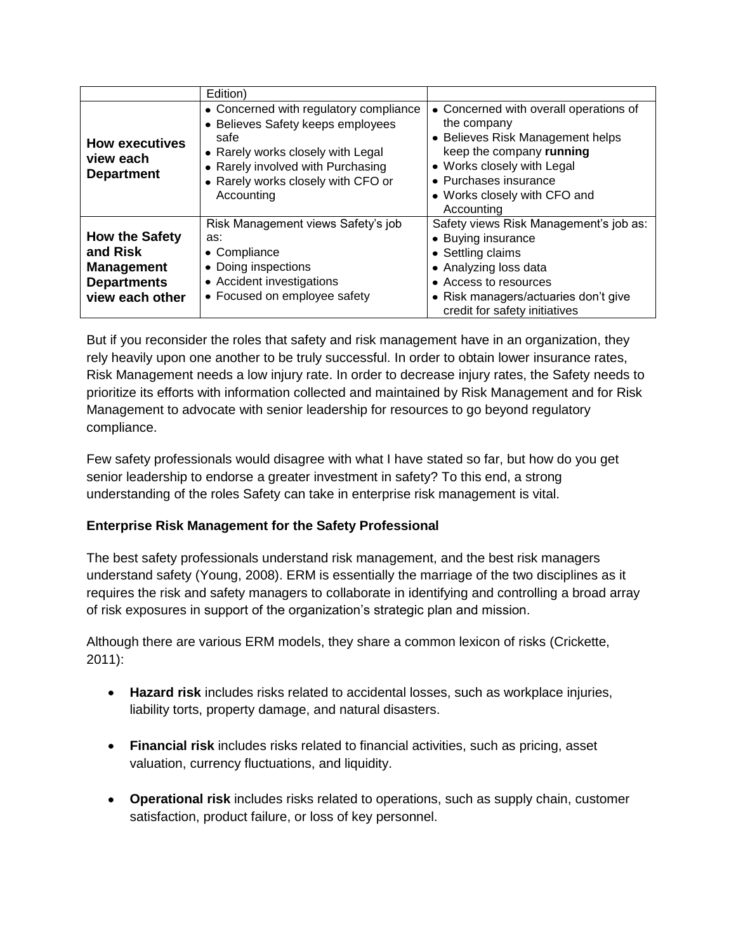|                                                                                                 | Edition)                                                                                                                                                                                                          |                                                                                                                                                                                                                            |
|-------------------------------------------------------------------------------------------------|-------------------------------------------------------------------------------------------------------------------------------------------------------------------------------------------------------------------|----------------------------------------------------------------------------------------------------------------------------------------------------------------------------------------------------------------------------|
| <b>How executives</b><br>view each<br><b>Department</b>                                         | • Concerned with regulatory compliance<br>• Believes Safety keeps employees<br>safe<br>• Rarely works closely with Legal<br>• Rarely involved with Purchasing<br>• Rarely works closely with CFO or<br>Accounting | • Concerned with overall operations of<br>the company<br>• Believes Risk Management helps<br>keep the company running<br>• Works closely with Legal<br>• Purchases insurance<br>• Works closely with CFO and<br>Accounting |
| <b>How the Safety</b><br>and Risk<br><b>Management</b><br><b>Departments</b><br>view each other | Risk Management views Safety's job<br>as:<br>• Compliance<br>• Doing inspections<br>• Accident investigations<br>• Focused on employee safety                                                                     | Safety views Risk Management's job as:<br>• Buying insurance<br>• Settling claims<br>• Analyzing loss data<br>• Access to resources<br>• Risk managers/actuaries don't give<br>credit for safety initiatives               |

But if you reconsider the roles that safety and risk management have in an organization, they rely heavily upon one another to be truly successful. In order to obtain lower insurance rates, Risk Management needs a low injury rate. In order to decrease injury rates, the Safety needs to prioritize its efforts with information collected and maintained by Risk Management and for Risk Management to advocate with senior leadership for resources to go beyond regulatory compliance.

Few safety professionals would disagree with what I have stated so far, but how do you get senior leadership to endorse a greater investment in safety? To this end, a strong understanding of the roles Safety can take in enterprise risk management is vital.

## **Enterprise Risk Management for the Safety Professional**

The best safety professionals understand risk management, and the best risk managers understand safety (Young, 2008). ERM is essentially the marriage of the two disciplines as it requires the risk and safety managers to collaborate in identifying and controlling a broad array of risk exposures in support of the organization's strategic plan and mission.

Although there are various ERM models, they share a common lexicon of risks (Crickette, 2011):

- **Hazard risk** includes risks related to accidental losses, such as workplace injuries, liability torts, property damage, and natural disasters.
- **Financial risk** includes risks related to financial activities, such as pricing, asset valuation, currency fluctuations, and liquidity.
- **Operational risk** includes risks related to operations, such as supply chain, customer satisfaction, product failure, or loss of key personnel.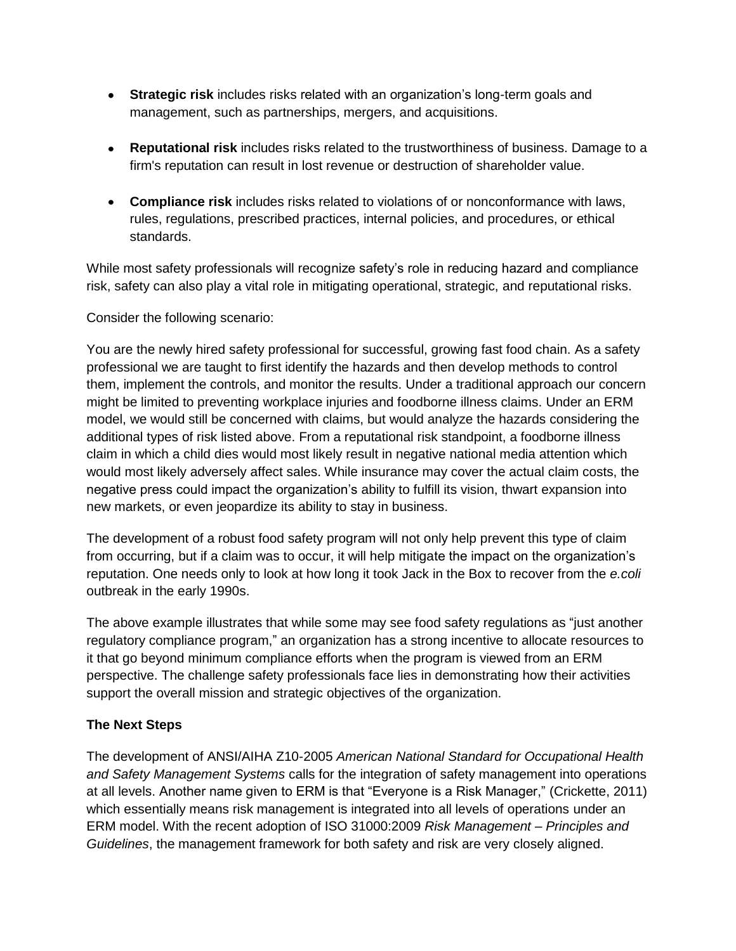- **Strategic risk** includes risks related with an organization's long-term goals and management, such as partnerships, mergers, and acquisitions.
- **Reputational risk** includes risks related to the trustworthiness of business. Damage to a  $\bullet$ firm's reputation can result in lost revenue or destruction of shareholder value.
- **Compliance risk** includes risks related to violations of or nonconformance with laws, rules, regulations, prescribed practices, internal policies, and procedures, or ethical standards.

While most safety professionals will recognize safety's role in reducing hazard and compliance risk, safety can also play a vital role in mitigating operational, strategic, and reputational risks.

Consider the following scenario:

You are the newly hired safety professional for successful, growing fast food chain. As a safety professional we are taught to first identify the hazards and then develop methods to control them, implement the controls, and monitor the results. Under a traditional approach our concern might be limited to preventing workplace injuries and foodborne illness claims. Under an ERM model, we would still be concerned with claims, but would analyze the hazards considering the additional types of risk listed above. From a reputational risk standpoint, a foodborne illness claim in which a child dies would most likely result in negative national media attention which would most likely adversely affect sales. While insurance may cover the actual claim costs, the negative press could impact the organization's ability to fulfill its vision, thwart expansion into new markets, or even jeopardize its ability to stay in business.

The development of a robust food safety program will not only help prevent this type of claim from occurring, but if a claim was to occur, it will help mitigate the impact on the organization's reputation. One needs only to look at how long it took Jack in the Box to recover from the *e.coli*  outbreak in the early 1990s.

The above example illustrates that while some may see food safety regulations as "just another regulatory compliance program," an organization has a strong incentive to allocate resources to it that go beyond minimum compliance efforts when the program is viewed from an ERM perspective. The challenge safety professionals face lies in demonstrating how their activities support the overall mission and strategic objectives of the organization.

## **The Next Steps**

The development of ANSI/AIHA Z10-2005 *American National Standard for Occupational Health and Safety Management Systems* calls for the integration of safety management into operations at all levels. Another name given to ERM is that "Everyone is a Risk Manager," (Crickette, 2011) which essentially means risk management is integrated into all levels of operations under an ERM model. With the recent adoption of ISO 31000:2009 *Risk Management – Principles and Guidelines*, the management framework for both safety and risk are very closely aligned.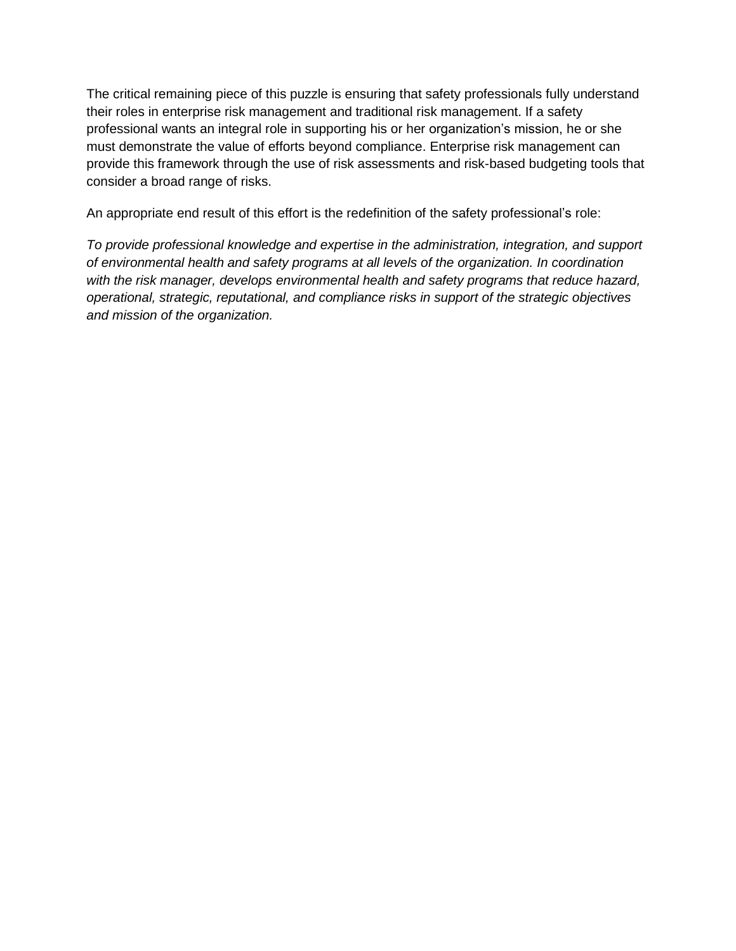The critical remaining piece of this puzzle is ensuring that safety professionals fully understand their roles in enterprise risk management and traditional risk management. If a safety professional wants an integral role in supporting his or her organization's mission, he or she must demonstrate the value of efforts beyond compliance. Enterprise risk management can provide this framework through the use of risk assessments and risk-based budgeting tools that consider a broad range of risks.

An appropriate end result of this effort is the redefinition of the safety professional's role:

*To provide professional knowledge and expertise in the administration, integration, and support of environmental health and safety programs at all levels of the organization. In coordination with the risk manager, develops environmental health and safety programs that reduce hazard, operational, strategic, reputational, and compliance risks in support of the strategic objectives and mission of the organization.*